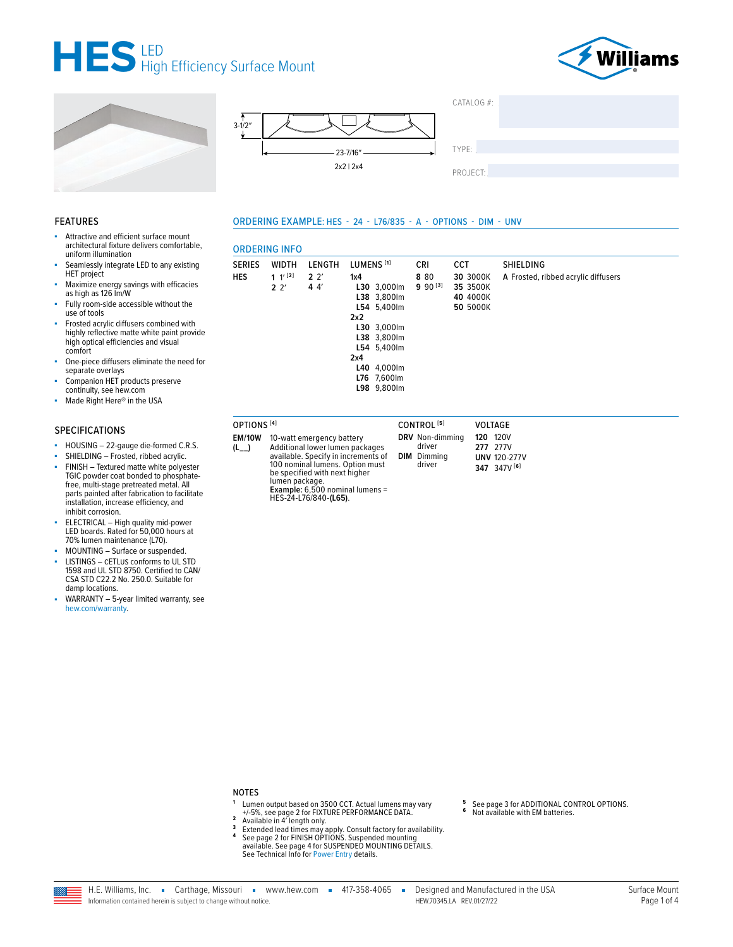







|   | CATALOG #: |  |  |
|---|------------|--|--|
|   |            |  |  |
|   |            |  |  |
| ᅬ | TYPE:      |  |  |
|   |            |  |  |
|   | PROJECT:   |  |  |

#### **FEATURES**

- Attractive and efficient surface mount architectural fixture delivers comfortable, uniform illumination
- Seamlessly integrate LED to any existing HET project
- Maximize energy savings with efficacies<br>as high as 126 lm/W
- Fully room-side accessible without the use of tools
- Frosted acrylic diffusers combined with<br>highly reflective matte white paint provide high optical efficiencies and visual comfort
- One-piece diffusers eliminate the need for separate overlays
- Companion HET products preserve continuity, see hew.com
- Made Right Here® in the USA ä,

#### **SPECIFICATIONS**

- HOUSING 22-gauge die-formed C.R.S.
- SHIELDING Frosted, ribbed acrylic. ×.
- FINISH Textured matte white polyester TGIC powder coat bonded to phosphatefree, multi-stage pretreated metal. All parts painted after fabrication to facilitate<br>installation, increase efficiency, and inhibit corrosion.
- ELECTRICAL High quality mid-power<br>LED boards. Rated for 50,000 hours at<br>70% lumen maintenance (L70).
- MOUNTING Surface or suspended. ×
- LISTINGS CETLUS conforms to UL STD 1598 and UL STD 8750. Certified to CAN/ CSA STD C22.2 No. 250.0. Suitable for damp locations.
- WARRANTY 5-year limited warranty, see hew.com/warranty

## ORDERING EXAMPLE: HES - 24 - L76/835 - A - OPTIONS - DIM - UNV

#### **ORDERING INEO**

|        | ט וויוו טוווווער              |                       |                                                                                                                                                          |                       |                                              |                                     |
|--------|-------------------------------|-----------------------|----------------------------------------------------------------------------------------------------------------------------------------------------------|-----------------------|----------------------------------------------|-------------------------------------|
| SERIES | WIDTH                         | LENGTH                | LUMENS <sup>[1]</sup>                                                                                                                                    | <b>CRI</b>            | <b>CCT</b>                                   | <b>SHIELDING</b>                    |
| HES    | 1 $1^{\prime}$ [2]<br>$2^{2}$ | 2 <sup>2</sup><br>44' | 1x4<br>L30 3,000lm<br>L38 3,800lm<br>L54 5.400lm<br>2x2<br>L30 3,000lm<br>L38 3,800lm<br>L54 5,400lm<br>2x4<br>L40 4,000lm<br>L76 7,600lm<br>L98 9,800lm | 8 8 0<br>$9.90^{[3]}$ | 30 3000K<br>35 3500K<br>40 4000K<br>50 5000K | A Frosted, ribbed acrylic diffusers |
|        |                               |                       |                                                                                                                                                          |                       |                                              |                                     |

| OPTIONS <sup>[4]</sup>     |                                                                                                                                                                                                                                     | CONTROL <sup>[5]</sup>                                    | <b>VOLTAGE</b>                                                            |
|----------------------------|-------------------------------------------------------------------------------------------------------------------------------------------------------------------------------------------------------------------------------------|-----------------------------------------------------------|---------------------------------------------------------------------------|
| <b>EM/10W</b><br>$(L_{-})$ | 10-watt emergency battery<br>Additional lower lumen packages<br>available. Specify in increments of<br>100 nominal lumens. Option must<br>be specified with next higher<br>lumen package.<br><b>Example:</b> 6.500 nominal lumens = | DRV Non-dimming<br>driver<br><b>DIM</b> Dimming<br>driver | <b>120 120V</b><br><b>277</b> 277V<br><b>UNV 120-277V</b><br>347 347V [6] |

#### **NOTES**

Lumen output based on 3500 CCT. Actual lumens may vary<br>+/-5%, see page 2 for FIXTURE PERFORMANCE DATA.<br>Available in 4' length only.  $\overline{2}$ 

HES-24-L76/840-(L65).

- $\overline{3}$
- Extended lead times may apply. Consult factory for availability.<br>See page 2 for FINISH OPTIONS. Suspended mounting  $\pmb{4}$ available. See page 4 for SUSPENDED MOUNTING DETAILS. See Technical Info for Power Entry details.
- See page 3 for ADDITIONAL CONTROL OPTIONS.<br>Not available with EM batteries.  $\bf 6$
- 
- 

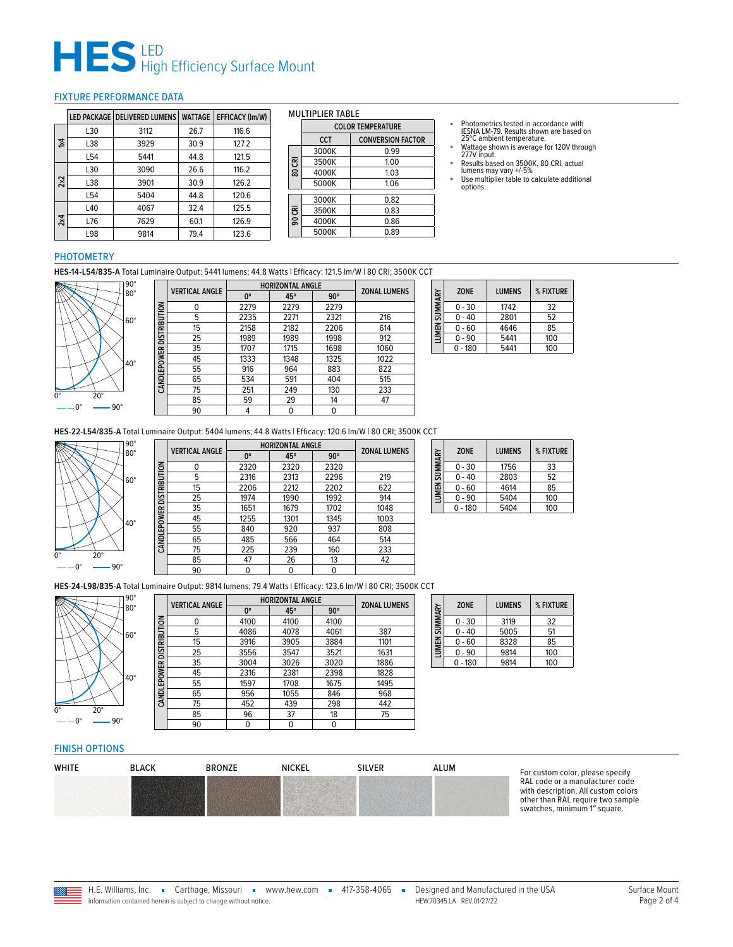# $H \mathbf{S}$  LED<br>High Efficiency Surface Mount

#### <span id="page-1-0"></span>FIXTURE PERFORMANCE DATA

|     |                 | LED PACKAGE   DELIVERED LUMENS | <b>WATTAGE</b> | EFFICACY (Im/W) |
|-----|-----------------|--------------------------------|----------------|-----------------|
|     | L30             | 3112                           | 26.7           | 116.6           |
| 1×4 | L38             | 3929                           | 30.9           | 127.2           |
|     | L54             | 5441                           | 44.8           | 121.5           |
|     | L30             | 3090                           | 26.6           | 116.2           |
| 2x2 | L38             | 3901                           | 30.9           | 126.2           |
|     | L <sub>54</sub> | 5404                           | 44.8           | 120.6           |
|     | L40             | 4067                           | 32.4           | 125.5           |
| 2x4 | L76             | 7629                           | 60.1           | 126.9           |
|     | L98             | 9814                           | 79.4           | 123.6           |

#### MULTIPLIER TABLE

|        | <b>COLOR TEMPERATURE</b> |                          |  |  |
|--------|--------------------------|--------------------------|--|--|
|        | <b>CCT</b>               | <b>CONVERSION FACTOR</b> |  |  |
|        | 3000K                    | 0.99                     |  |  |
| 80 CRI | 3500K                    | 1.00                     |  |  |
|        | 4000K                    | 1.03                     |  |  |
|        | 5000K                    | 1.06                     |  |  |
|        | 3000K                    | 0.82                     |  |  |
| 90 CRI | 3500K                    | 0.83                     |  |  |
|        | 4000K                    | 0.86                     |  |  |
|        | 5000K                    | 0.89                     |  |  |

- Photometrics tested in accordance with IESNA LM-79. Results shown are based on 25ºC ambient temperature.
- Wattage shown is average for 120V through 277V input.
- Results based on 3500K, 80 CRI, actual lumens may vary +/-5%
- Use multiplier table to calculate additional options.

### PHOTOMETRY

**HES-14-L54/835-A** Total Luminaire Output: 5441 lumens; 44.8 Watts | Efficacy: 121.5 lm/W | 80 CRI; 3500K CCT



|                          | <b>VERTICAL ANGLE</b> | <b>HORIZONTAL ANGLE</b> | <b>ZONAL LUMENS</b> |            |      |
|--------------------------|-----------------------|-------------------------|---------------------|------------|------|
|                          |                       | $0^{\circ}$             | 45°                 | $90^\circ$ |      |
|                          | 0                     | 2279                    | 2279                | 2279       |      |
| CANDLEPOWER DISTRIBUTION | 5                     | 2235                    | 2271                | 2321       | 216  |
|                          | 15                    | 2158                    | 2182                | 2206       | 614  |
|                          | 25                    | 1989                    | 1989                | 1998       | 912  |
|                          | 35                    | 1707                    | 1715                | 1698       | 1060 |
|                          | 45                    | 1333                    | 1348                | 1325       | 1022 |
|                          | 55                    | 916                     | 964                 | 883        | 822  |
|                          | 65                    | 534                     | 591                 | 404        | 515  |
|                          | 75                    | 251                     | 249                 | 130        | 233  |
|                          | 85                    | 59                      | 29                  | 14         | 47   |
|                          | 90                    | 4                       |                     | 0          |      |

| LUMEN SUMMARY | <b>ZONE</b> | <b>LUMENS</b> | % FIXTURE |  |  |  |  |
|---------------|-------------|---------------|-----------|--|--|--|--|
|               | $0 - 30$    | 1742          | 32        |  |  |  |  |
|               | $0 - 40$    | 2801          | 52        |  |  |  |  |
|               | $0 - 60$    | 4646          | 85        |  |  |  |  |
|               | $0 - 90$    | 5441          | 100       |  |  |  |  |
|               | $-180$      | 5441          | 100       |  |  |  |  |

**HES-22-L54/835-A** Total Luminaire Output: 5404 lumens; 44.8 Watts | Efficacy: 120.6 lm/W | 80 CRI; 3500K CCT



|                          | <b>VERTICAL ANGLE</b> | <b>HORIZONTAL ANGLE</b> | <b>ZONAL LUMENS</b> |            |      |
|--------------------------|-----------------------|-------------------------|---------------------|------------|------|
|                          |                       | 0°                      | 45°                 | $90^\circ$ |      |
|                          | 0                     | 2320                    | 2320                | 2320       |      |
|                          | 5                     | 2316                    | 2313                | 2296       | 219  |
|                          | 15                    | 2206                    | 2212                | 2202       | 622  |
|                          | 25                    | 1974                    | 1990                | 1992       | 914  |
|                          | 35                    | 1651                    | 1679                | 1702       | 1048 |
| CANDLEPOWER DISTRIBUTION | 45                    | 1255                    | 1301                | 1345       | 1003 |
|                          | 55                    | 840                     | 920                 | 937        | 808  |
|                          | 65                    | 485                     | 566                 | 464        | 514  |
|                          | 75                    | 225                     | 239                 | 160        | 233  |
|                          | 85                    | 47                      | 26                  | 13         | 42   |
|                          | 90                    | 0                       | 0                   | 0          |      |
|                          |                       |                         |                     |            |      |

| <b>LUMEN SUMMARY</b> | <b>ZONE</b> | <b>LUMENS</b> | % FIXTURE |
|----------------------|-------------|---------------|-----------|
|                      | $0 - 30$    | 1756          | 33        |
|                      | $0 - 40$    | 2803          | 52        |
|                      | $0 - 60$    | 4614          | 85        |
|                      | $0 - 90$    | 5404          | 100       |
|                      | $0 - 180$   | 5404          | 100       |

**HES-24-L98/835-A** Total Luminaire Output: 9814 lumens; 79.4 Watts | Efficacy: 123.6 lm/W | 80 CRI; 3500K CCT



|                     | <b>VERTICAL ANGLE</b> | <b>HORIZONTAL ANGLE</b> | <b>ZONAL LUMENS</b> |            |      |
|---------------------|-----------------------|-------------------------|---------------------|------------|------|
|                     |                       | 0°                      | 45°                 | $90^\circ$ |      |
|                     | 0                     | 4100                    | 4100                | 4100       |      |
|                     | 5                     | 4086                    | 4078                | 4061       | 387  |
|                     | 15                    | 3916                    | 3905                | 3884       | 1101 |
| <b>DISTRIBUTION</b> | 25                    | 3556                    | 3547                | 3521       | 1631 |
|                     | 35                    | 3004                    | 3026                | 3020       | 1886 |
|                     | 45                    | 2316                    | 2381                | 2398       | 1828 |
| CANDLEPOWER         | 55                    | 1597                    | 1708                | 1675       | 1495 |
|                     | 65                    | 956                     | 1055                | 846        | 968  |
|                     | 75                    | 452                     | 439                 | 298        | 442  |
|                     | 85                    | 96                      | 37                  | 18         | 75   |
|                     | 90                    | 0                       | 0                   | 0          |      |

| LUMEN SUMMARY | <b>ZONE</b> | <b>LUMENS</b> | % FIXTURE |
|---------------|-------------|---------------|-----------|
|               | $0 - 30$    | 3119          | 32        |
|               | 0 - 40      | 5005          | 51        |
|               | $0 - 60$    | 8328          | 85        |
|               | $0 - 90$    | 9814          | 100       |
|               | - 180       | 9814          | 100       |

#### <span id="page-1-1"></span>FINISH OPTIONS

| <b>WHITE</b> | <b>BLACK</b> | <b>BRONZE</b> | <b>NICKEL</b> | <b>SILVER</b> | ALUM |         |
|--------------|--------------|---------------|---------------|---------------|------|---------|
|              |              |               |               |               |      | n<br>W  |
|              |              |               |               |               |      | n<br>C) |

or custom color, please specify RAL code or a manufacturer code with description. All custom colors other than RAL require two sample watches, minimum 1" square.

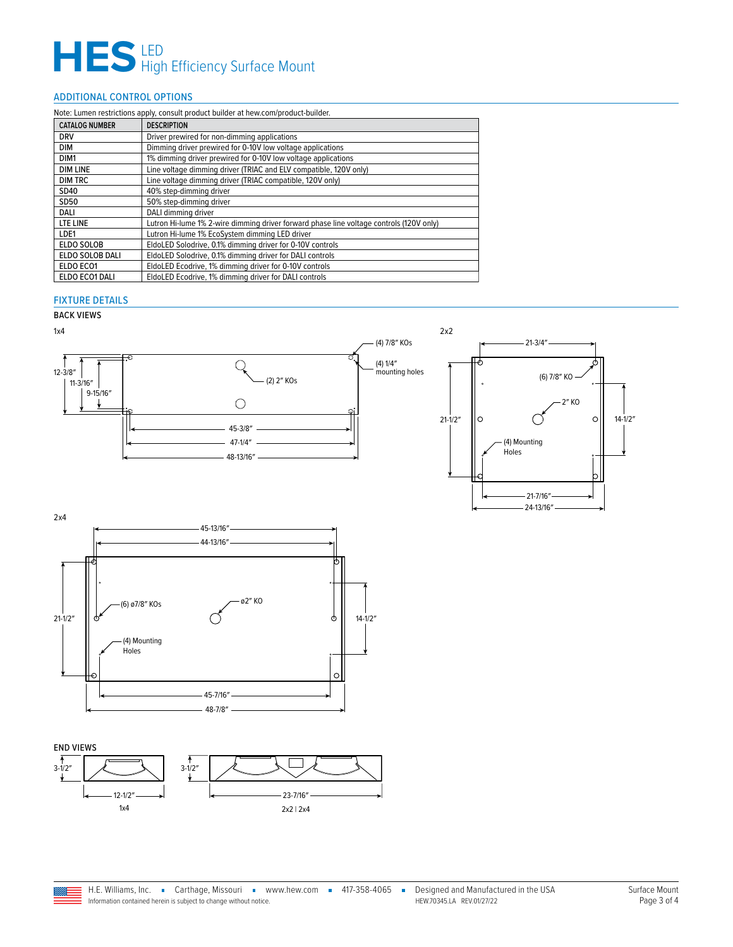# $H \mathbf{S}$  LED<br>High Efficiency Surface Mount

## <span id="page-2-0"></span>ADDITIONAL CONTROL OPTIONS

| Note: Lumen restrictions apply, consult product builder at hew.com/product-builder. |                                                                                         |  |  |  |
|-------------------------------------------------------------------------------------|-----------------------------------------------------------------------------------------|--|--|--|
| <b>CATALOG NUMBER</b>                                                               | <b>DESCRIPTION</b>                                                                      |  |  |  |
| <b>DRV</b>                                                                          | Driver prewired for non-dimming applications                                            |  |  |  |
| DIM                                                                                 | Dimming driver prewired for 0-10V low voltage applications                              |  |  |  |
| DIM <sub>1</sub>                                                                    | 1% dimming driver prewired for 0-10V low voltage applications                           |  |  |  |
| <b>DIM LINE</b>                                                                     | Line voltage dimming driver (TRIAC and ELV compatible, 120V only)                       |  |  |  |
| <b>DIM TRC</b>                                                                      | Line voltage dimming driver (TRIAC compatible, 120V only)                               |  |  |  |
| SD40                                                                                | 40% step-dimming driver                                                                 |  |  |  |
| SD50                                                                                | 50% step-dimming driver                                                                 |  |  |  |
| DALI                                                                                | DALI dimming driver                                                                     |  |  |  |
| LTE LINE                                                                            | Lutron Hi-lume 1% 2-wire dimming driver forward phase line voltage controls (120V only) |  |  |  |
| LDE1                                                                                | Lutron Hi-lume 1% EcoSystem dimming LED driver                                          |  |  |  |
| ELDO SOLOB                                                                          | EldoLED Solodrive, 0.1% dimming driver for 0-10V controls                               |  |  |  |
| ELDO SOLOB DALI                                                                     | EldoLED Solodrive, 0.1% dimming driver for DALI controls                                |  |  |  |
| ELDO ECO1                                                                           | EldoLED Ecodrive, 1% dimming driver for 0-10V controls                                  |  |  |  |
| ELDO ECO1 DALI                                                                      | EldoLED Ecodrive, 1% dimming driver for DALI controls                                   |  |  |  |

### FIXTURE DETAILS

## BACK VIEWS





END VIEWS





24-13/16″